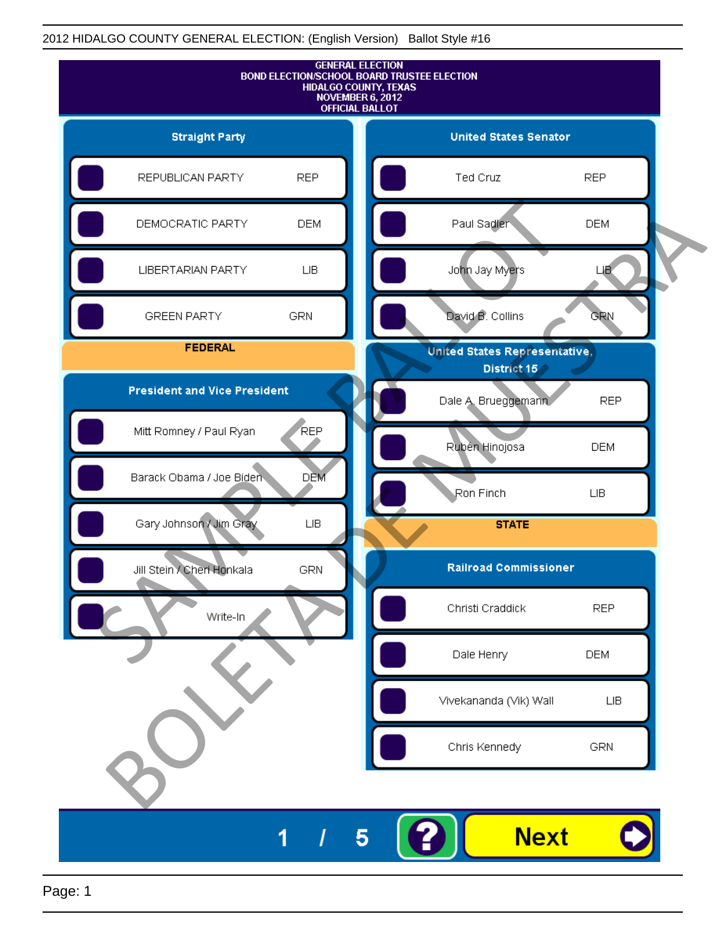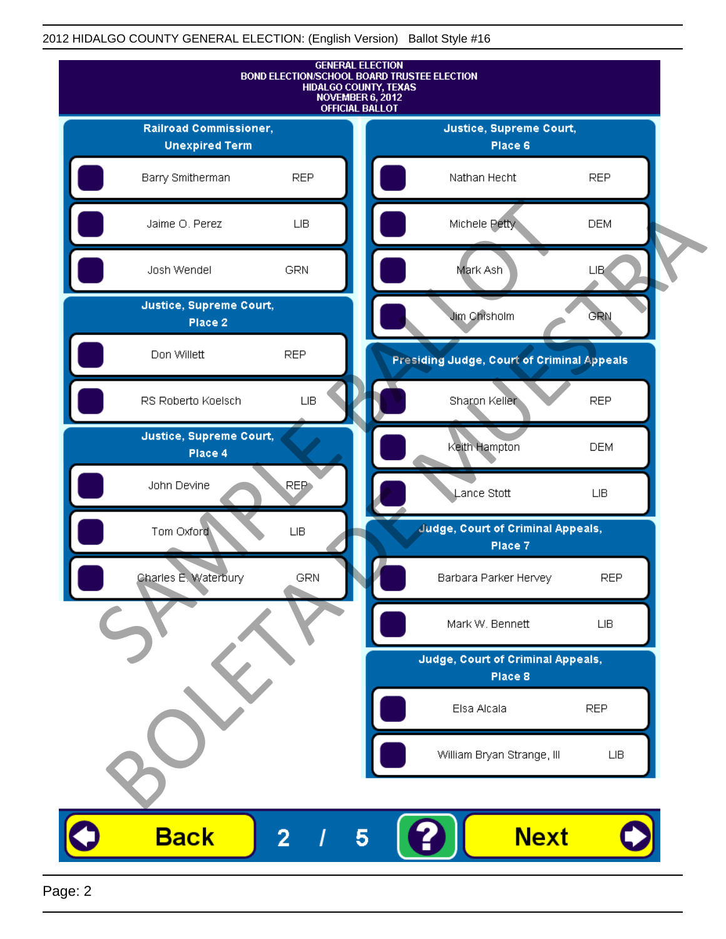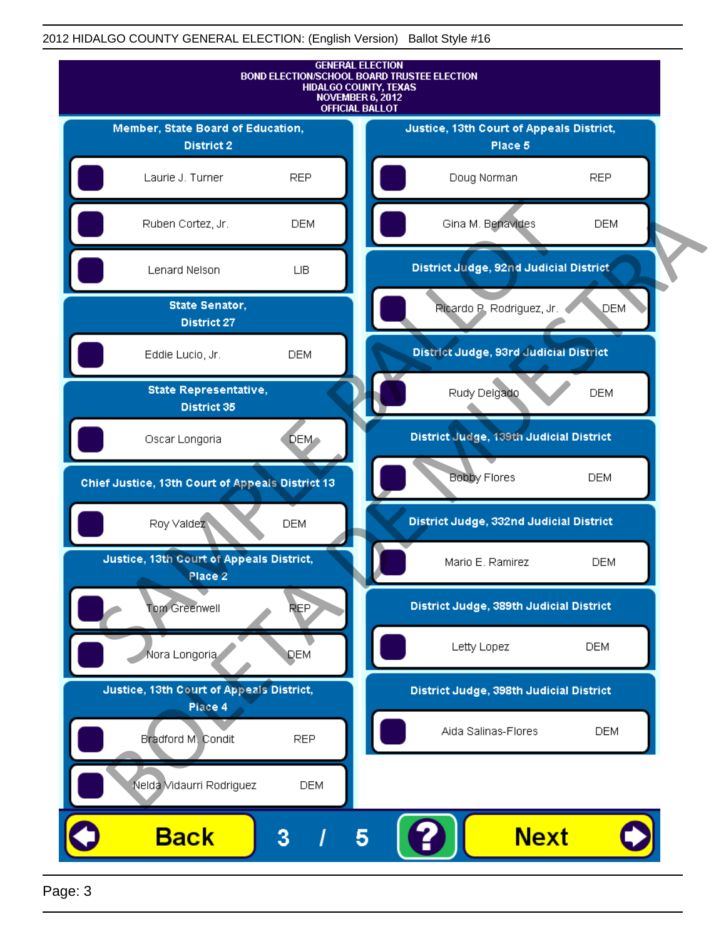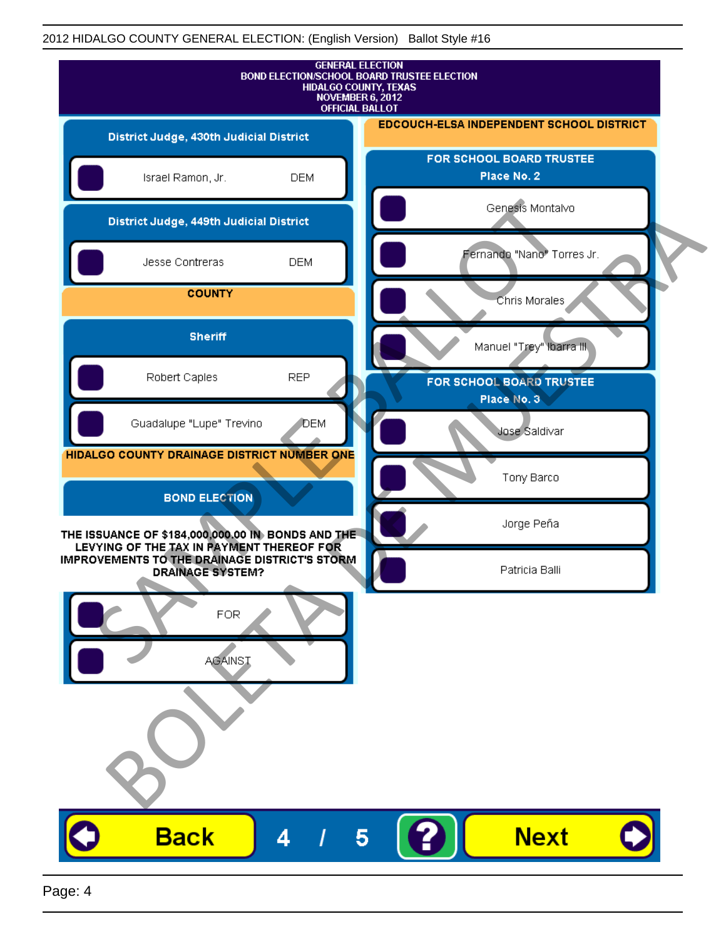| <b>GENERAL ELECTION</b><br>BOND ELECTION/SCHOOL BOARD TRUSTEE ELECTION<br>HIDALGO COUNTY, TEXAS<br>NOVEMBER 6, 2012<br><b>OFFICIAL BALLOT</b>   |              |                                          |
|-------------------------------------------------------------------------------------------------------------------------------------------------|--------------|------------------------------------------|
| District Judge, 430th Judicial District                                                                                                         |              | EDCOUCH-ELSA INDEPENDENT SCHOOL DISTRICT |
| Israel Ramon, Jr.                                                                                                                               | <b>DEM</b>   | FOR SCHOOL BOARD TRUSTEE<br>Place No. 2  |
| District Judge, 449th Judicial District                                                                                                         |              | Genesis Montalvo                         |
| Jesse Contreras                                                                                                                                 | <b>DEM</b>   | Fernando "Nano" Torres Jr.               |
| <b>COUNTY</b>                                                                                                                                   |              | Chris Morales                            |
| <b>Sheriff</b>                                                                                                                                  |              | Manuel "Trey" Ibarra III.                |
| Robert Caples                                                                                                                                   | <b>REP</b>   | FOR SCHOOL BOARD TRUSTEE<br>Place No. 3  |
| Guadalupe "Lupe" Trevino                                                                                                                        | <b>J</b> DEM | Jose Saldivar                            |
| HIDALGO COUNTY DRAINAGE DISTRICT NUMBER ONE                                                                                                     |              | Tony Barco                               |
| <b>BOND ELECTION</b>                                                                                                                            |              | Jorge Peña                               |
| THE ISSUANCE OF \$184,000,000.00 IN BONDS AND THE<br>LEVYING OF THE TAX IN PAYMENT THEREOF FOR<br>IMPROVEMENTS TO THE DRAINAGE DISTRICT'S STORM |              | Patricia Balli                           |
| <b>DRAINAGE SYSTEM?</b><br><b>FOR</b><br><b>AGAINST</b>                                                                                         |              |                                          |
| <b>Back</b>                                                                                                                                     | 4            | <b>Next</b><br>5                         |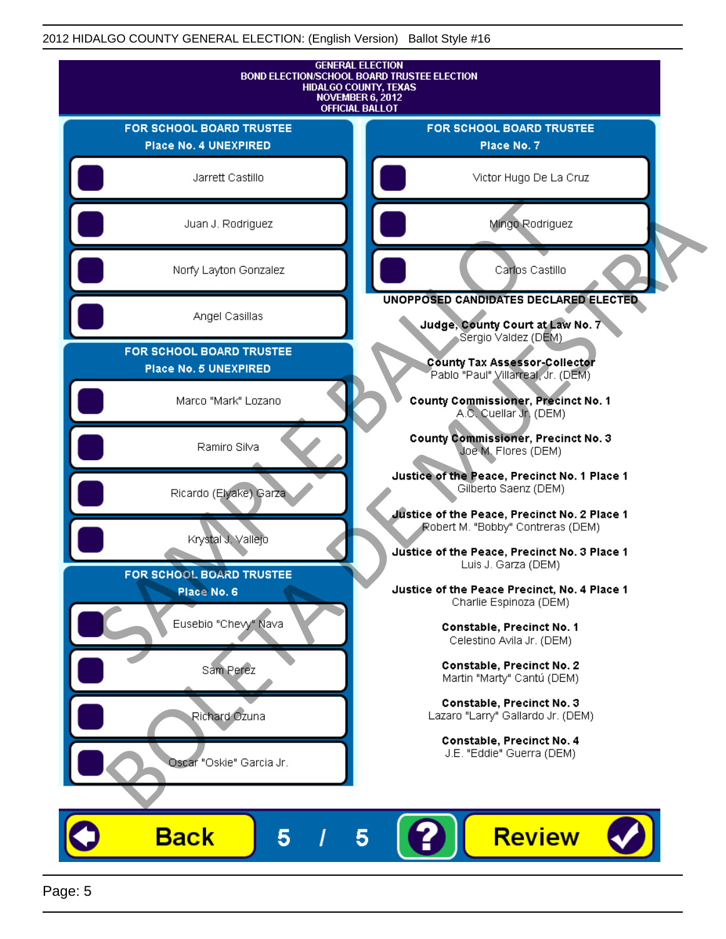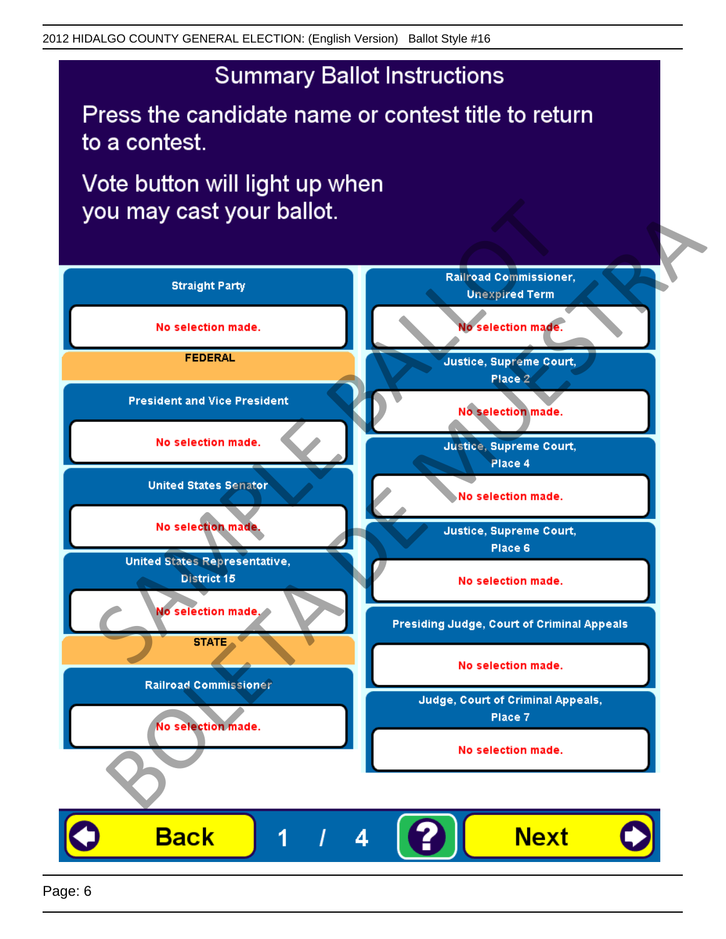Press the candidate name or contest title to return to a contest.

Vote button will light up when

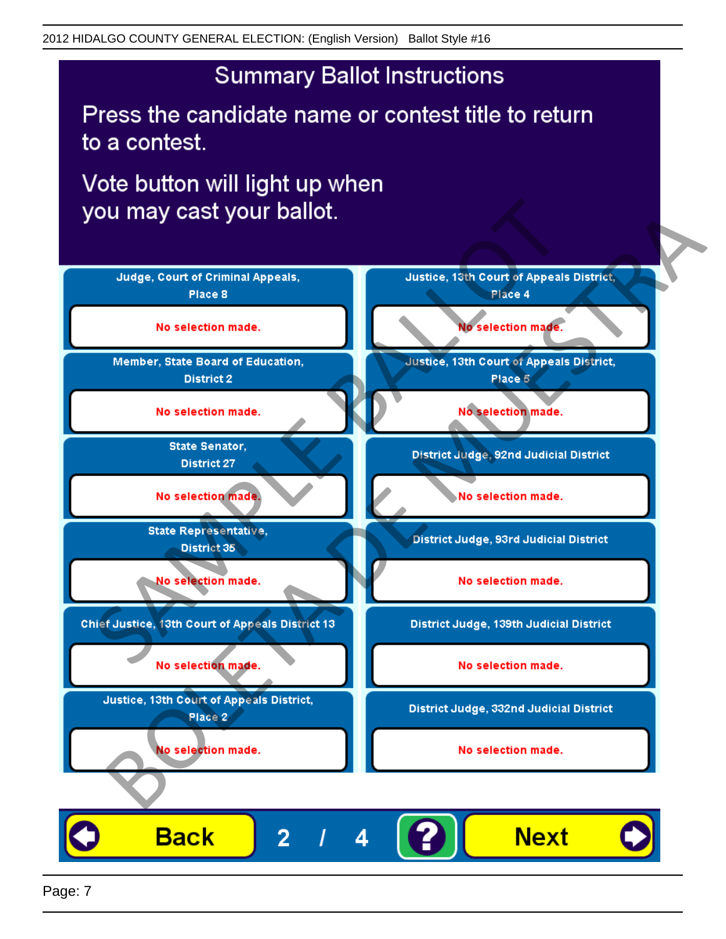Press the candidate name or contest title to return to a contest.

Vote button will light up when

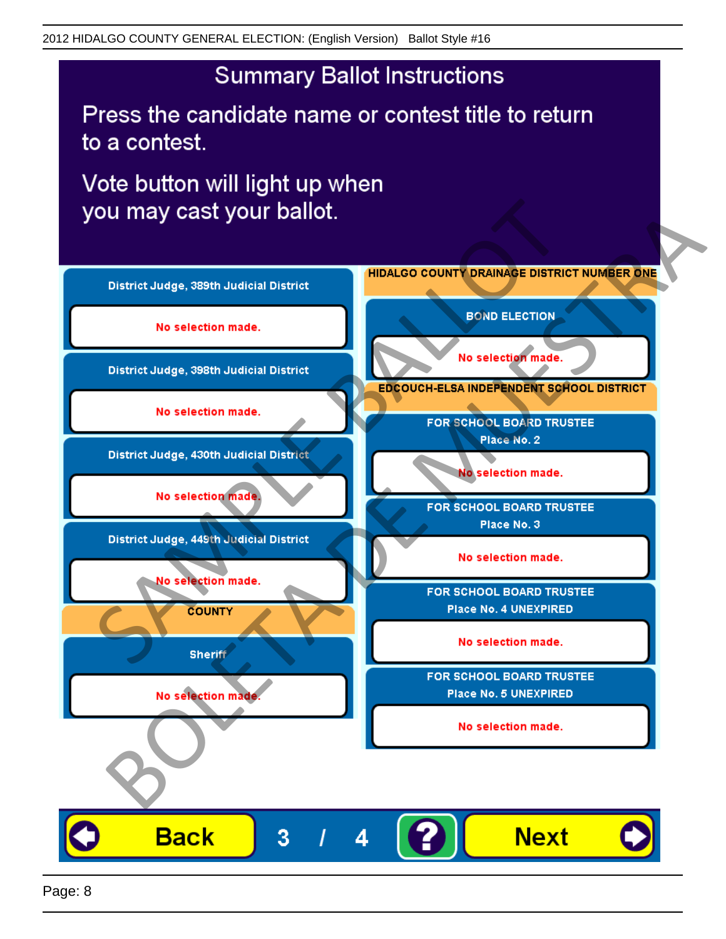Press the candidate name or contest title to return to a contest.

Vote button will light up when